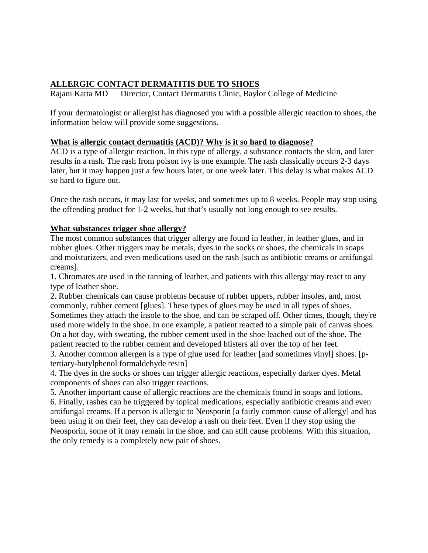# **ALLERGIC CONTACT DERMATITIS DUE TO SHOES**

Rajani Katta MD Director, Contact Dermatitis Clinic, Baylor College of Medicine

If your dermatologist or allergist has diagnosed you with a possible allergic reaction to shoes, the information below will provide some suggestions.

### **What is allergic contact dermatitis (ACD)? Why is it so hard to diagnose?**

ACD is a type of allergic reaction. In this type of allergy, a substance contacts the skin, and later results in a rash. The rash from poison ivy is one example. The rash classically occurs 2-3 days later, but it may happen just a few hours later, or one week later. This delay is what makes ACD so hard to figure out.

Once the rash occurs, it may last for weeks, and sometimes up to 8 weeks. People may stop using the offending product for 1-2 weeks, but that's usually not long enough to see results.

#### **What substances trigger shoe allergy?**

The most common substances that trigger allergy are found in leather, in leather glues, and in rubber glues. Other triggers may be metals, dyes in the socks or shoes, the chemicals in soaps and moisturizers, and even medications used on the rash [such as antibiotic creams or antifungal creams].

1. Chromates are used in the tanning of leather, and patients with this allergy may react to any type of leather shoe.

2. Rubber chemicals can cause problems because of rubber uppers, rubber insoles, and, most commonly, rubber cement [glues]. These types of glues may be used in all types of shoes. Sometimes they attach the insole to the shoe, and can be scraped off. Other times, though, they're used more widely in the shoe. In one example, a patient reacted to a simple pair of canvas shoes. On a hot day, with sweating, the rubber cement used in the shoe leached out of the shoe. The patient reacted to the rubber cement and developed blisters all over the top of her feet.

3. Another common allergen is a type of glue used for leather [and sometimes vinyl] shoes. [ptertiary-butylphenol formaldehyde resin]

4. The dyes in the socks or shoes can trigger allergic reactions, especially darker dyes. Metal components of shoes can also trigger reactions.

5. Another important cause of allergic reactions are the chemicals found in soaps and lotions. 6. Finally, rashes can be triggered by topical medications, especially antibiotic creams and even antifungal creams. If a person is allergic to Neosporin [a fairly common cause of allergy] and has been using it on their feet, they can develop a rash on their feet. Even if they stop using the Neosporin, some of it may remain in the shoe, and can still cause problems. With this situation, the only remedy is a completely new pair of shoes.